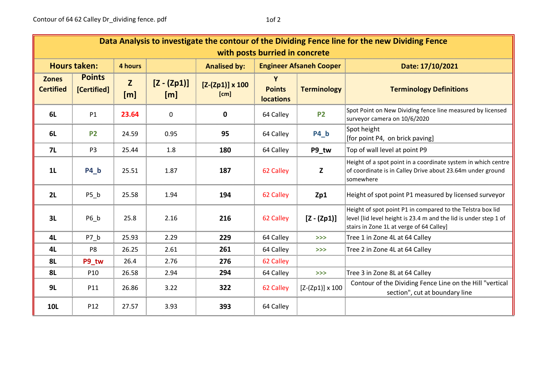| Data Analysis to investigate the contour of the Dividing Fence line for the new Dividing Fence<br>with posts burried in concrete |                              |                     |                      |                                |                                   |                        |                                                                                                                                                                            |  |  |  |  |
|----------------------------------------------------------------------------------------------------------------------------------|------------------------------|---------------------|----------------------|--------------------------------|-----------------------------------|------------------------|----------------------------------------------------------------------------------------------------------------------------------------------------------------------------|--|--|--|--|
| <b>Hours taken:</b>                                                                                                              |                              | 4 hours             |                      | <b>Analised by:</b>            | <b>Engineer Afsaneh Cooper</b>    |                        | Date: 17/10/2021                                                                                                                                                           |  |  |  |  |
| <b>Zones</b><br><b>Certified</b>                                                                                                 | <b>Points</b><br>[Certified] | $\mathbf{Z}$<br>[m] | $[Z - (Zp1)]$<br>[m] | $[Z-(Zp1)] \times 100$<br>[cm] | <b>Points</b><br><b>locations</b> | <b>Terminology</b>     | <b>Terminology Definitions</b>                                                                                                                                             |  |  |  |  |
| 6L                                                                                                                               | P <sub>1</sub>               | 23.64               | 0                    | 0                              | 64 Calley                         | <b>P2</b>              | Spot Point on New Dividing fence line measured by licensed<br>surveyor camera on 10/6/2020                                                                                 |  |  |  |  |
| 6L                                                                                                                               | <b>P2</b>                    | 24.59               | 0.95                 | 95                             | 64 Calley                         | P4 b                   | Spot height<br>[for point P4, on brick paving]                                                                                                                             |  |  |  |  |
| <b>7L</b>                                                                                                                        | P <sub>3</sub>               | 25.44               | 1.8                  | 180                            | 64 Calley                         | P9 tw                  | Top of wall level at point P9                                                                                                                                              |  |  |  |  |
| 1 <sub>L</sub>                                                                                                                   | <b>P4_b</b>                  | 25.51               | 1.87                 | 187                            | 62 Calley                         | Z                      | Height of a spot point in a coordinate system in which centre<br>of coordinate is in Calley Drive about 23.64m under ground<br>isomewhere                                  |  |  |  |  |
| 2L                                                                                                                               | P5 b                         | 25.58               | 1.94                 | 194                            | 62 Calley                         | Zp1                    | Height of spot point P1 measured by licensed surveyor                                                                                                                      |  |  |  |  |
| 3L                                                                                                                               | P6 b                         | 25.8                | 2.16                 | 216                            | 62 Calley                         | $[Z - (Zp1)]$          | Height of spot point P1 in compared to the Telstra box lid<br>level [lid level height is 23.4 m and the lid is under step 1 of<br>stairs in Zone 1L at verge of 64 Calley] |  |  |  |  |
| 4L                                                                                                                               | P7 b                         | 25.93               | 2.29                 | 229                            | 64 Calley                         | >>                     | Tree 1 in Zone 4L at 64 Calley                                                                                                                                             |  |  |  |  |
| 4L                                                                                                                               | P <sub>8</sub>               | 26.25               | 2.61                 | 261                            | 64 Calley                         | >>                     | Tree 2 in Zone 4L at 64 Calley                                                                                                                                             |  |  |  |  |
| <b>8L</b>                                                                                                                        | P9 tw                        | 26.4                | 2.76                 | 276                            | 62 Calley                         |                        |                                                                                                                                                                            |  |  |  |  |
| 8L                                                                                                                               | P <sub>10</sub>              | 26.58               | 2.94                 | 294                            | 64 Calley                         | >>                     | Tree 3 in Zone 8L at 64 Calley                                                                                                                                             |  |  |  |  |
| 9L                                                                                                                               | P11                          | 26.86               | 3.22                 | 322                            | 62 Calley                         | $[Z-(Zp1)] \times 100$ | Contour of the Dividing Fence Line on the Hill "vertical<br>section", cut at boundary line                                                                                 |  |  |  |  |
| <b>10L</b>                                                                                                                       | P <sub>12</sub>              | 27.57               | 3.93                 | 393                            | 64 Calley                         |                        |                                                                                                                                                                            |  |  |  |  |